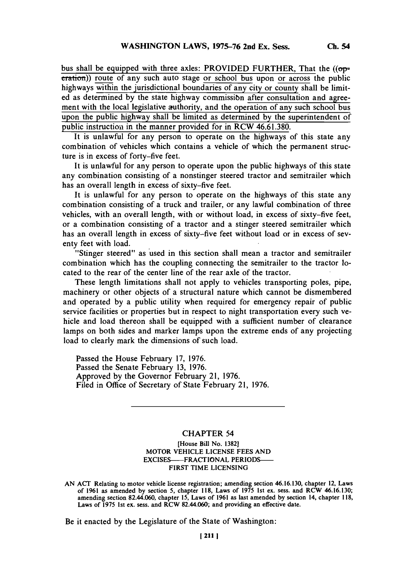bus shall be equipped with three axles: PROVIDED FURTHER, That the  $((op$ eration)) route of any such auto stage or school bus upon or across the public highways within the jurisdictional boundaries of any city or county shall be limited as determined **by** the state highway commissibn after consultation and agreement with the local legislative authority, and the operation of any such school bus upon the public highway shall be limited as determined **by** the superintendent of public instruction in the manner provided for in RCW 46.61.380.

It is unlawful for any person to operate on the highways of this state any combination of vehicles which contains a vehicle of which the permanent structure is in excess of forty-five feet.

It is unlawful for any person to operate upon the public highways of this state any combination consisting of a nonstinger steered tractor and semitrailer which has an overall length in excess of sixty-five feet.

It is unlawful for any person to operate on the highways of this state any combination consisting of a truck and trailer, or any lawful combination of three vehicles, with an overall length, with or without load, in excess of sixty-five feet, or a combination consisting of a tractor and a stinger steered semitrailer which has an overall length in excess of sixty-five feet without load or in excess of seventy feet with load.

"Stinger steered" as used in this section shall mean a tractor and semitrailer combination which has the coupling connecting the semitrailer to the tractor located to the rear of the center line of the rear axle of the tractor.

These length limitations shall not apply to vehicles transporting poles, pipe, machinery or other objects of a structural nature which cannot be dismembered and operated **by** a public utility when required for emergency repair of public service facilities or properties but in respect to night transportation every such vehicle and load thereon shall be equipped with a sufficient number of clearance lamps on both sides and marker lamps upon the extreme ends of any projecting load to clearly mark the dimensions of such load.

Passed the House February **17, 1976.** Passed the Senate February **13, 1976.** Approved **by** the Governor February 21, **1976.** Filed in Office of Secretary of State February 21, **1976.**

## CHAPTER 54

[House Bill No. **1382]** MOTOR VEHICLE **LICENSE FEES AND EXCISES-FRACFTONAL** PERIODS-FIRST TIME **LICENSING**

Be it enacted **by** the Legislature of the State of Washington:

**AN** ACT Relating to motor vehicle license registration; amending section **46.16.130,** chapter 12, Laws of **1961** as amended **by** section **5,** chapter **118,** Laws of **1975** 1st ex. sess. and RCW **46.16.130;** amending section 82.44.060, chapter **15,** Laws of **1961** as last amended **by** section 14, chapter **118,** Laws of **1975** 1st ex. sess. and RCW 82.44.060; and providing an effective date.